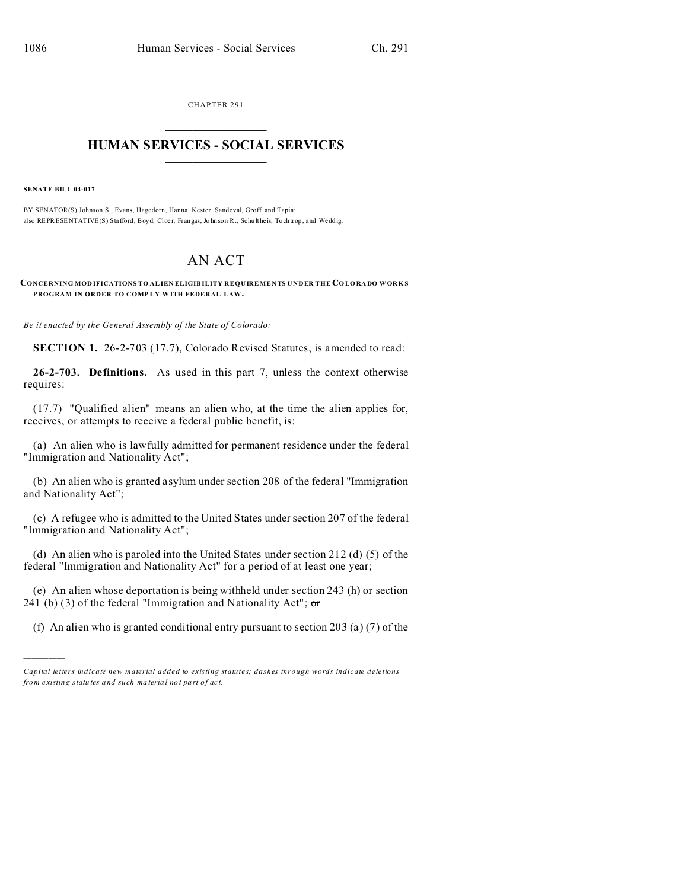CHAPTER 291  $\overline{\phantom{a}}$  , where  $\overline{\phantom{a}}$ 

## **HUMAN SERVICES - SOCIAL SERVICES**  $\frac{1}{2}$  ,  $\frac{1}{2}$  ,  $\frac{1}{2}$  ,  $\frac{1}{2}$  ,  $\frac{1}{2}$  ,  $\frac{1}{2}$

**SENATE BILL 04-017**

)))))

BY SENATOR(S) Johnson S., Evans, Hagedorn, Hanna, Kester, Sandoval, Groff, and Tapia; also REPRESENTATIVE(S) Stafford, Boyd, Cloer, Frangas, Johnson R., Schultheis, Tochtrop, and Weddig.

## AN ACT

**CONCERNING MOD IFICATIONS TO ALIEN ELIGIBILITY REQUIREMENTS UNDER THE CO LO RA DO WORKS PROGRAM IN ORDER TO COMP LY W ITH FEDERAL LAW.**

*Be it enacted by the General Assembly of the State of Colorado:*

**SECTION 1.** 26-2-703 (17.7), Colorado Revised Statutes, is amended to read:

**26-2-703. Definitions.** As used in this part 7, unless the context otherwise requires:

(17.7) "Qualified alien" means an alien who, at the time the alien applies for, receives, or attempts to receive a federal public benefit, is:

(a) An alien who is lawfully admitted for permanent residence under the federal "Immigration and Nationality Act";

(b) An alien who is granted asylum under section 208 of the federal "Immigration and Nationality Act";

(c) A refugee who is admitted to the United States under section 207 of the federal "Immigration and Nationality Act";

(d) An alien who is paroled into the United States under section 212 (d) (5) of the federal "Immigration and Nationality Act" for a period of at least one year;

(e) An alien whose deportation is being withheld under section 243 (h) or section 241 (b) (3) of the federal "Immigration and Nationality Act";  $\sigma$ r

(f) An alien who is granted conditional entry pursuant to section 203 (a) (7) of the

*Capital letters indicate new material added to existing statutes; dashes through words indicate deletions from e xistin g statu tes a nd such ma teria l no t pa rt of ac t.*